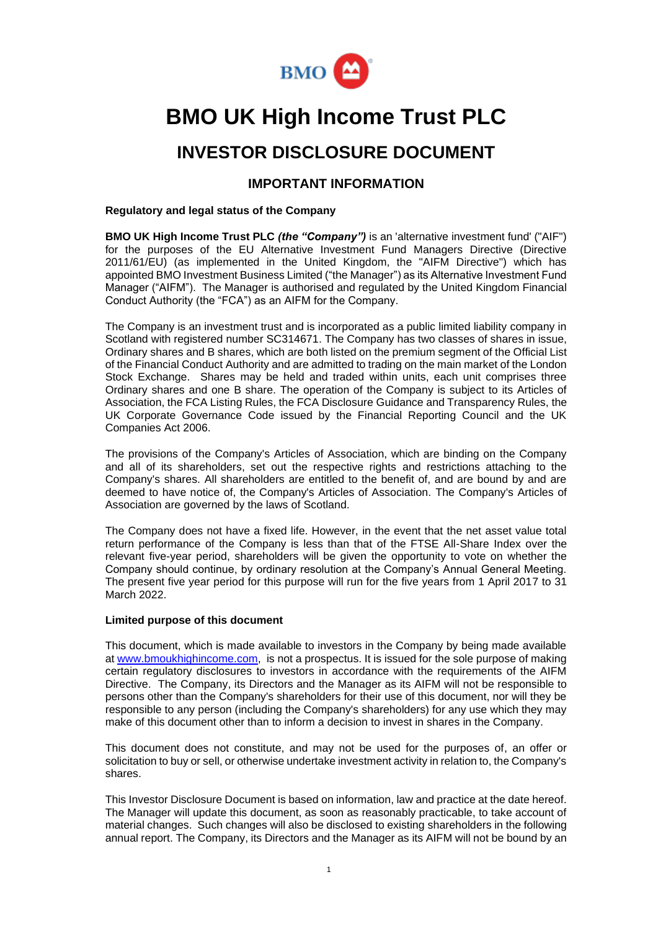

# **BMO UK High Income Trust PLC**

## **INVESTOR DISCLOSURE DOCUMENT**

## **IMPORTANT INFORMATION**

## **Regulatory and legal status of the Company**

**BMO UK High Income Trust PLC** *(the "Company")* is an 'alternative investment fund' ("AIF") for the purposes of the EU Alternative Investment Fund Managers Directive (Directive 2011/61/EU) (as implemented in the United Kingdom, the "AIFM Directive") which has appointed BMO Investment Business Limited ("the Manager") as its Alternative Investment Fund Manager ("AIFM"). The Manager is authorised and regulated by the United Kingdom Financial Conduct Authority (the "FCA") as an AIFM for the Company.

The Company is an investment trust and is incorporated as a public limited liability company in Scotland with registered number SC314671. The Company has two classes of shares in issue, Ordinary shares and B shares, which are both listed on the premium segment of the Official List of the Financial Conduct Authority and are admitted to trading on the main market of the London Stock Exchange. Shares may be held and traded within units, each unit comprises three Ordinary shares and one B share. The operation of the Company is subject to its Articles of Association, the FCA Listing Rules, the FCA Disclosure Guidance and Transparency Rules, the UK Corporate Governance Code issued by the Financial Reporting Council and the UK Companies Act 2006.

The provisions of the Company's Articles of Association, which are binding on the Company and all of its shareholders, set out the respective rights and restrictions attaching to the Company's shares. All shareholders are entitled to the benefit of, and are bound by and are deemed to have notice of, the Company's Articles of Association. The Company's Articles of Association are governed by the laws of Scotland.

The Company does not have a fixed life. However, in the event that the net asset value total return performance of the Company is less than that of the FTSE All-Share Index over the relevant five-year period, shareholders will be given the opportunity to vote on whether the Company should continue, by ordinary resolution at the Company's Annual General Meeting. The present five year period for this purpose will run for the five years from 1 April 2017 to 31 March 2022.

## **Limited purpose of this document**

This document, which is made available to investors in the Company by being made available at [www.bmoukhighincome.com,](http://www.fandcukhit.co.uk/) is not a prospectus. It is issued for the sole purpose of making certain regulatory disclosures to investors in accordance with the requirements of the AIFM Directive. The Company, its Directors and the Manager as its AIFM will not be responsible to persons other than the Company's shareholders for their use of this document, nor will they be responsible to any person (including the Company's shareholders) for any use which they may make of this document other than to inform a decision to invest in shares in the Company.

This document does not constitute, and may not be used for the purposes of, an offer or solicitation to buy or sell, or otherwise undertake investment activity in relation to, the Company's shares.

This Investor Disclosure Document is based on information, law and practice at the date hereof. The Manager will update this document, as soon as reasonably practicable, to take account of material changes. Such changes will also be disclosed to existing shareholders in the following annual report. The Company, its Directors and the Manager as its AIFM will not be bound by an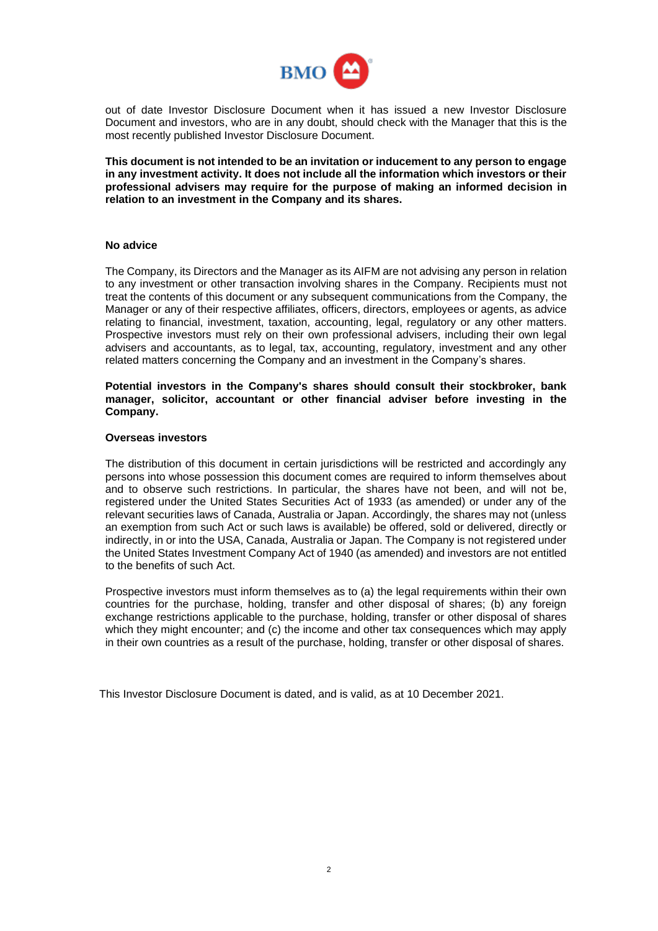

out of date Investor Disclosure Document when it has issued a new Investor Disclosure Document and investors, who are in any doubt, should check with the Manager that this is the most recently published Investor Disclosure Document.

**This document is not intended to be an invitation or inducement to any person to engage in any investment activity. It does not include all the information which investors or their professional advisers may require for the purpose of making an informed decision in relation to an investment in the Company and its shares.** 

## **No advice**

The Company, its Directors and the Manager as its AIFM are not advising any person in relation to any investment or other transaction involving shares in the Company. Recipients must not treat the contents of this document or any subsequent communications from the Company, the Manager or any of their respective affiliates, officers, directors, employees or agents, as advice relating to financial, investment, taxation, accounting, legal, regulatory or any other matters. Prospective investors must rely on their own professional advisers, including their own legal advisers and accountants, as to legal, tax, accounting, regulatory, investment and any other related matters concerning the Company and an investment in the Company's shares.

**Potential investors in the Company's shares should consult their stockbroker, bank manager, solicitor, accountant or other financial adviser before investing in the Company.**

#### **Overseas investors**

The distribution of this document in certain jurisdictions will be restricted and accordingly any persons into whose possession this document comes are required to inform themselves about and to observe such restrictions. In particular, the shares have not been, and will not be, registered under the United States Securities Act of 1933 (as amended) or under any of the relevant securities laws of Canada, Australia or Japan. Accordingly, the shares may not (unless an exemption from such Act or such laws is available) be offered, sold or delivered, directly or indirectly, in or into the USA, Canada, Australia or Japan. The Company is not registered under the United States Investment Company Act of 1940 (as amended) and investors are not entitled to the benefits of such Act.

Prospective investors must inform themselves as to (a) the legal requirements within their own countries for the purchase, holding, transfer and other disposal of shares; (b) any foreign exchange restrictions applicable to the purchase, holding, transfer or other disposal of shares which they might encounter; and (c) the income and other tax consequences which may apply in their own countries as a result of the purchase, holding, transfer or other disposal of shares.

This Investor Disclosure Document is dated, and is valid, as at 10 December 2021.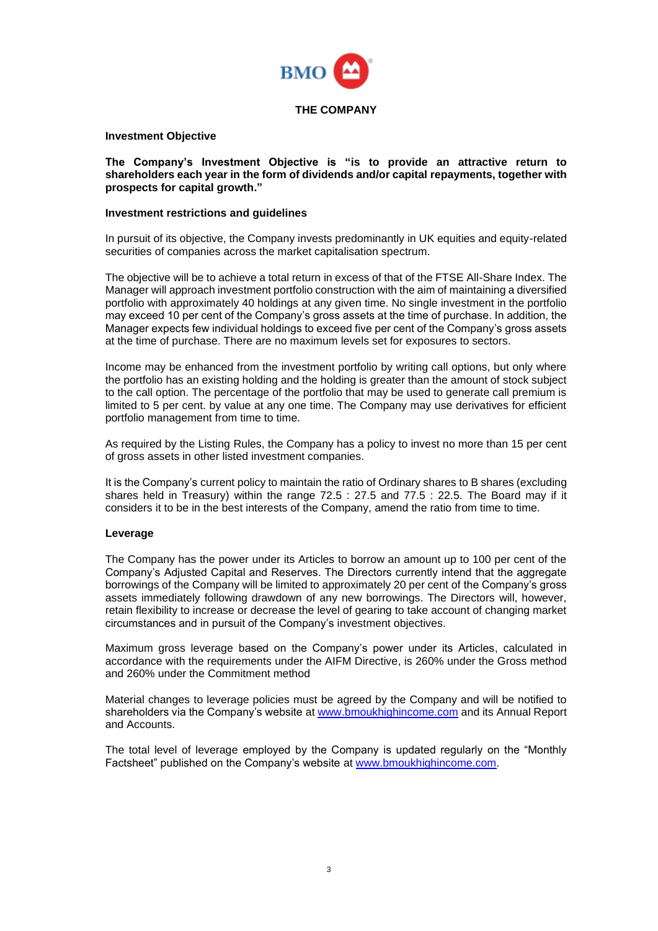

## **Investment Objective**

**The Company's Investment Objective is "is to provide an attractive return to shareholders each year in the form of dividends and/or capital repayments, together with prospects for capital growth."**

## **Investment restrictions and guidelines**

In pursuit of its objective, the Company invests predominantly in UK equities and equity-related securities of companies across the market capitalisation spectrum.

The objective will be to achieve a total return in excess of that of the FTSE All-Share Index. The Manager will approach investment portfolio construction with the aim of maintaining a diversified portfolio with approximately 40 holdings at any given time. No single investment in the portfolio may exceed 10 per cent of the Company's gross assets at the time of purchase. In addition, the Manager expects few individual holdings to exceed five per cent of the Company's gross assets at the time of purchase. There are no maximum levels set for exposures to sectors.

Income may be enhanced from the investment portfolio by writing call options, but only where the portfolio has an existing holding and the holding is greater than the amount of stock subject to the call option. The percentage of the portfolio that may be used to generate call premium is limited to 5 per cent. by value at any one time. The Company may use derivatives for efficient portfolio management from time to time.

As required by the Listing Rules, the Company has a policy to invest no more than 15 per cent of gross assets in other listed investment companies.

It is the Company's current policy to maintain the ratio of Ordinary shares to B shares (excluding shares held in Treasury) within the range 72.5 : 27.5 and 77.5 : 22.5. The Board may if it considers it to be in the best interests of the Company, amend the ratio from time to time.

## **Leverage**

The Company has the power under its Articles to borrow an amount up to 100 per cent of the Company's Adjusted Capital and Reserves. The Directors currently intend that the aggregate borrowings of the Company will be limited to approximately 20 per cent of the Company's gross assets immediately following drawdown of any new borrowings. The Directors will, however, retain flexibility to increase or decrease the level of gearing to take account of changing market circumstances and in pursuit of the Company's investment objectives.

Maximum gross leverage based on the Company's power under its Articles, calculated in accordance with the requirements under the AIFM Directive, is 260% under the Gross method and 260% under the Commitment method

Material changes to leverage policies must be agreed by the Company and will be notified to shareholders via the Company's website at [www.bmoukhighincome.com](http://www.fandcukhit.co.uk/) and its Annual Report and Accounts.

The total level of leverage employed by the Company is updated regularly on the "Monthly Factsheet" published on the Company's website at [www.bmoukhighincome.com.](http://www.fandcukhit.co.uk/)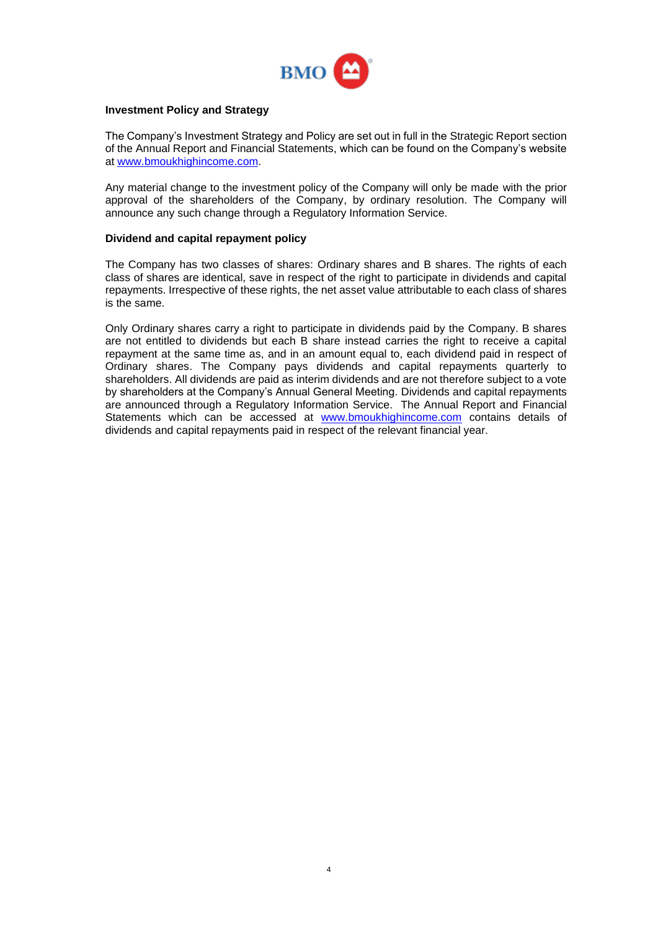

## **Investment Policy and Strategy**

The Company's Investment Strategy and Policy are set out in full in the Strategic Report section of the Annual Report and Financial Statements, which can be found on the Company's website at [www.bmoukhighincome.com.](http://www.fandcukhit.co.uk/)

Any material change to the investment policy of the Company will only be made with the prior approval of the shareholders of the Company, by ordinary resolution. The Company will announce any such change through a Regulatory Information Service.

## **Dividend and capital repayment policy**

The Company has two classes of shares: Ordinary shares and B shares. The rights of each class of shares are identical, save in respect of the right to participate in dividends and capital repayments. Irrespective of these rights, the net asset value attributable to each class of shares is the same.

Only Ordinary shares carry a right to participate in dividends paid by the Company. B shares are not entitled to dividends but each B share instead carries the right to receive a capital repayment at the same time as, and in an amount equal to, each dividend paid in respect of Ordinary shares. The Company pays dividends and capital repayments quarterly to shareholders. All dividends are paid as interim dividends and are not therefore subject to a vote by shareholders at the Company's Annual General Meeting. Dividends and capital repayments are announced through a Regulatory Information Service. The Annual Report and Financial Statements which can be accessed at [www.bmoukhighincome.com](http://www.fandcukhit.co.uk/) contains details of dividends and capital repayments paid in respect of the relevant financial year.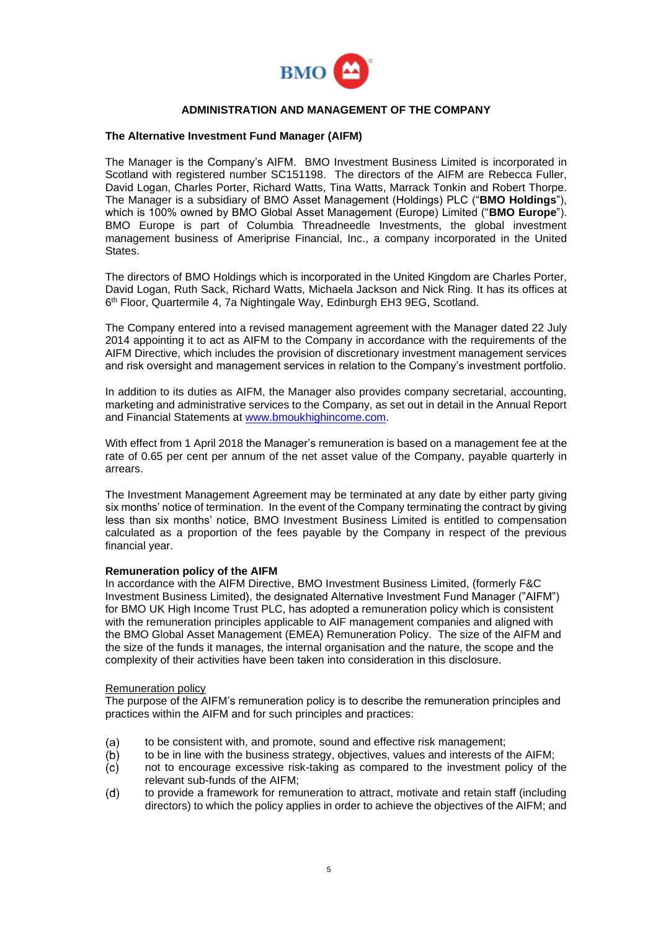

## **ADMINISTRATION AND MANAGEMENT OF THE COMPANY**

#### **The Alternative Investment Fund Manager (AIFM)**

The Manager is the Company's AIFM. BMO Investment Business Limited is incorporated in Scotland with registered number SC151198. The directors of the AIFM are Rebecca Fuller, David Logan, Charles Porter, Richard Watts, Tina Watts, Marrack Tonkin and Robert Thorpe. The Manager is a subsidiary of BMO Asset Management (Holdings) PLC ("**BMO Holdings**"), which is 100% owned by BMO Global Asset Management (Europe) Limited ("**BMO Europe**"). BMO Europe is part of Columbia Threadneedle Investments, the global investment management business of Ameriprise Financial, Inc., a company incorporated in the United States.

The directors of BMO Holdings which is incorporated in the United Kingdom are Charles Porter, David Logan, Ruth Sack, Richard Watts, Michaela Jackson and Nick Ring. It has its offices at 6 th Floor, Quartermile 4, 7a Nightingale Way, Edinburgh EH3 9EG, Scotland.

The Company entered into a revised management agreement with the Manager dated 22 July 2014 appointing it to act as AIFM to the Company in accordance with the requirements of the AIFM Directive, which includes the provision of discretionary investment management services and risk oversight and management services in relation to the Company's investment portfolio.

In addition to its duties as AIFM, the Manager also provides company secretarial, accounting, marketing and administrative services to the Company, as set out in detail in the Annual Report and Financial Statements at [www.bmoukhighincome.com.](http://www.fandcukhit.co.uk/)

With effect from 1 April 2018 the Manager's remuneration is based on a management fee at the rate of 0.65 per cent per annum of the net asset value of the Company, payable quarterly in arrears.

The Investment Management Agreement may be terminated at any date by either party giving six months' notice of termination. In the event of the Company terminating the contract by giving less than six months' notice, BMO Investment Business Limited is entitled to compensation calculated as a proportion of the fees payable by the Company in respect of the previous financial year.

## **Remuneration policy of the AIFM**

In accordance with the AIFM Directive, BMO Investment Business Limited, (formerly F&C Investment Business Limited), the designated Alternative Investment Fund Manager ("AIFM") for BMO UK High Income Trust PLC, has adopted a remuneration policy which is consistent with the remuneration principles applicable to AIF management companies and aligned with the BMO Global Asset Management (EMEA) Remuneration Policy. The size of the AIFM and the size of the funds it manages, the internal organisation and the nature, the scope and the complexity of their activities have been taken into consideration in this disclosure.

#### Remuneration policy

The purpose of the AIFM's remuneration policy is to describe the remuneration principles and practices within the AIFM and for such principles and practices:

- $(a)$ to be consistent with, and promote, sound and effective risk management;
- $(b)$ to be in line with the business strategy, objectives, values and interests of the AIFM;
- not to encourage excessive risk-taking as compared to the investment policy of the  $(c)$ relevant sub-funds of the AIFM;
- $(d)$ to provide a framework for remuneration to attract, motivate and retain staff (including directors) to which the policy applies in order to achieve the objectives of the AIFM; and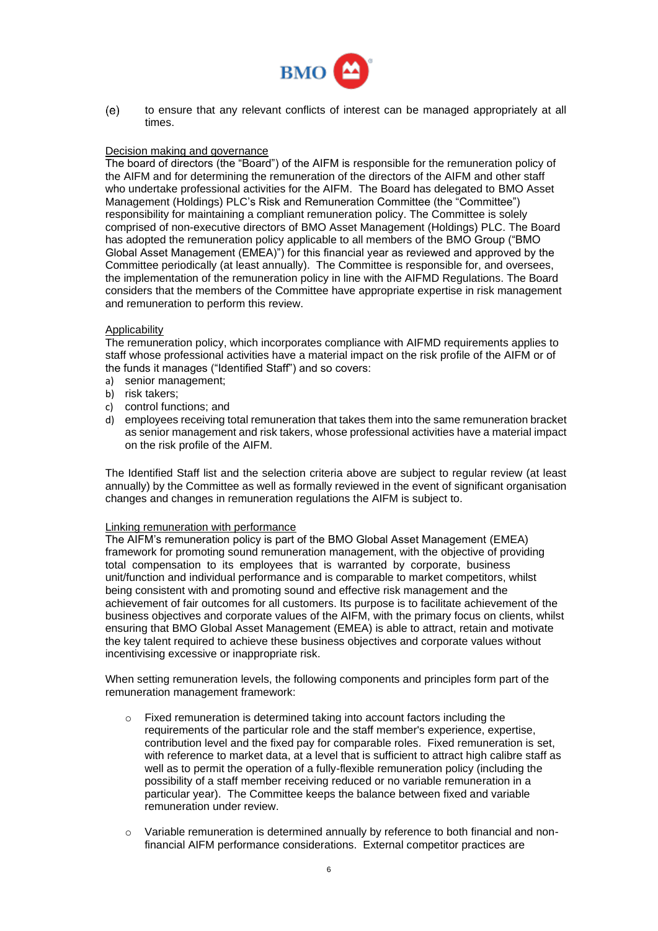

to ensure that any relevant conflicts of interest can be managed appropriately at all  $(e)$ times.

#### Decision making and governance

The board of directors (the "Board") of the AIFM is responsible for the remuneration policy of the AIFM and for determining the remuneration of the directors of the AIFM and other staff who undertake professional activities for the AIFM. The Board has delegated to BMO Asset Management (Holdings) PLC's Risk and Remuneration Committee (the "Committee") responsibility for maintaining a compliant remuneration policy. The Committee is solely comprised of non-executive directors of BMO Asset Management (Holdings) PLC. The Board has adopted the remuneration policy applicable to all members of the BMO Group ("BMO Global Asset Management (EMEA)") for this financial year as reviewed and approved by the Committee periodically (at least annually). The Committee is responsible for, and oversees, the implementation of the remuneration policy in line with the AIFMD Regulations. The Board considers that the members of the Committee have appropriate expertise in risk management and remuneration to perform this review.

#### **Applicability**

The remuneration policy, which incorporates compliance with AIFMD requirements applies to staff whose professional activities have a material impact on the risk profile of the AIFM or of the funds it manages ("Identified Staff") and so covers:

- a) senior management;
- b) risk takers;
- c) control functions; and
- d) employees receiving total remuneration that takes them into the same remuneration bracket as senior management and risk takers, whose professional activities have a material impact on the risk profile of the AIFM.

The Identified Staff list and the selection criteria above are subject to regular review (at least annually) by the Committee as well as formally reviewed in the event of significant organisation changes and changes in remuneration regulations the AIFM is subject to.

## Linking remuneration with performance

The AIFM's remuneration policy is part of the BMO Global Asset Management (EMEA) framework for promoting sound remuneration management, with the objective of providing total compensation to its employees that is warranted by corporate, business unit/function and individual performance and is comparable to market competitors, whilst being consistent with and promoting sound and effective risk management and the achievement of fair outcomes for all customers. Its purpose is to facilitate achievement of the business objectives and corporate values of the AIFM, with the primary focus on clients, whilst ensuring that BMO Global Asset Management (EMEA) is able to attract, retain and motivate the key talent required to achieve these business objectives and corporate values without incentivising excessive or inappropriate risk.

When setting remuneration levels, the following components and principles form part of the remuneration management framework:

- o Fixed remuneration is determined taking into account factors including the requirements of the particular role and the staff member's experience, expertise, contribution level and the fixed pay for comparable roles. Fixed remuneration is set, with reference to market data, at a level that is sufficient to attract high calibre staff as well as to permit the operation of a fully-flexible remuneration policy (including the possibility of a staff member receiving reduced or no variable remuneration in a particular year). The Committee keeps the balance between fixed and variable remuneration under review.
- o Variable remuneration is determined annually by reference to both financial and nonfinancial AIFM performance considerations. External competitor practices are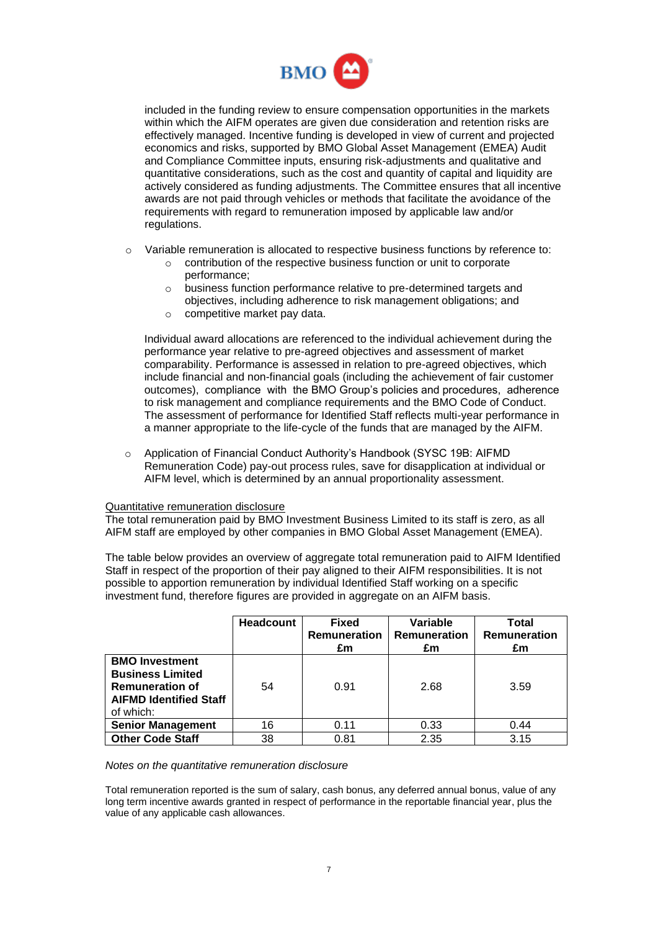

included in the funding review to ensure compensation opportunities in the markets within which the AIFM operates are given due consideration and retention risks are effectively managed. Incentive funding is developed in view of current and projected economics and risks, supported by BMO Global Asset Management (EMEA) Audit and Compliance Committee inputs, ensuring risk-adjustments and qualitative and quantitative considerations, such as the cost and quantity of capital and liquidity are actively considered as funding adjustments. The Committee ensures that all incentive awards are not paid through vehicles or methods that facilitate the avoidance of the requirements with regard to remuneration imposed by applicable law and/or regulations.

- $\circ$  Variable remuneration is allocated to respective business functions by reference to:
	- o contribution of the respective business function or unit to corporate performance;
	- o business function performance relative to pre-determined targets and objectives, including adherence to risk management obligations; and
	- o competitive market pay data.

Individual award allocations are referenced to the individual achievement during the performance year relative to pre-agreed objectives and assessment of market comparability. Performance is assessed in relation to pre-agreed objectives, which include financial and non-financial goals (including the achievement of fair customer outcomes), compliance with the BMO Group's policies and procedures, adherence to risk management and compliance requirements and the BMO Code of Conduct. The assessment of performance for Identified Staff reflects multi-year performance in a manner appropriate to the life-cycle of the funds that are managed by the AIFM.

o Application of Financial Conduct Authority's Handbook (SYSC 19B: AIFMD Remuneration Code) pay-out process rules, save for disapplication at individual or AIFM level, which is determined by an annual proportionality assessment.

## Quantitative remuneration disclosure

The total remuneration paid by BMO Investment Business Limited to its staff is zero, as all AIFM staff are employed by other companies in BMO Global Asset Management (EMEA).

The table below provides an overview of aggregate total remuneration paid to AIFM Identified Staff in respect of the proportion of their pay aligned to their AIFM responsibilities. It is not possible to apportion remuneration by individual Identified Staff working on a specific investment fund, therefore figures are provided in aggregate on an AIFM basis.

|                                                                                                                          | <b>Headcount</b> | <b>Fixed</b><br><b>Remuneration</b><br>£m | Variable<br>Remuneration<br>£m | Total<br><b>Remuneration</b><br>£m |
|--------------------------------------------------------------------------------------------------------------------------|------------------|-------------------------------------------|--------------------------------|------------------------------------|
| <b>BMO Investment</b><br><b>Business Limited</b><br><b>Remuneration of</b><br><b>AIFMD Identified Staff</b><br>of which: | 54               | 0.91                                      | 2.68                           | 3.59                               |
| <b>Senior Management</b>                                                                                                 | 16               | 0.11                                      | 0.33                           | 0.44                               |
| <b>Other Code Staff</b>                                                                                                  | 38               | 0.81                                      | 2.35                           | 3.15                               |

#### *Notes on the quantitative remuneration disclosure*

Total remuneration reported is the sum of salary, cash bonus, any deferred annual bonus, value of any long term incentive awards granted in respect of performance in the reportable financial year, plus the value of any applicable cash allowances.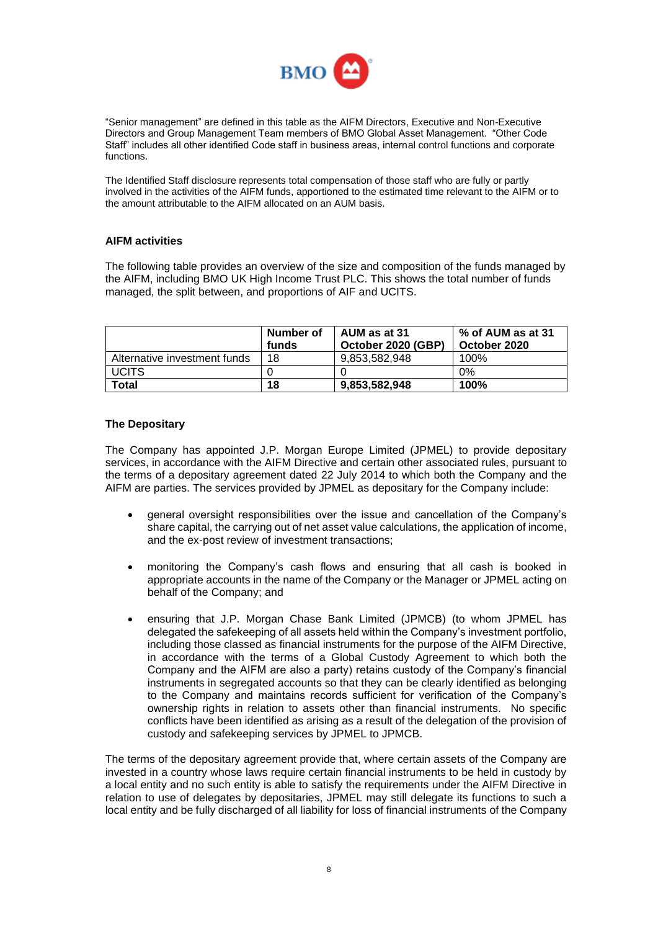

"Senior management" are defined in this table as the AIFM Directors, Executive and Non-Executive Directors and Group Management Team members of BMO Global Asset Management. "Other Code Staff" includes all other identified Code staff in business areas, internal control functions and corporate functions.

The Identified Staff disclosure represents total compensation of those staff who are fully or partly involved in the activities of the AIFM funds, apportioned to the estimated time relevant to the AIFM or to the amount attributable to the AIFM allocated on an AUM basis.

## **AIFM activities**

The following table provides an overview of the size and composition of the funds managed by the AIFM, including BMO UK High Income Trust PLC. This shows the total number of funds managed, the split between, and proportions of AIF and UCITS.

|                              | Number of<br>funds | AUM as at 31<br>October 2020 (GBP) | % of AUM as at 31<br>October 2020 |
|------------------------------|--------------------|------------------------------------|-----------------------------------|
| Alternative investment funds | 18                 | 9.853.582.948                      | 100%                              |
| <b>UCITS</b>                 |                    |                                    | $0\%$                             |
| Total                        | 18                 | 9.853.582.948                      | 100%                              |

## **The Depositary**

The Company has appointed J.P. Morgan Europe Limited (JPMEL) to provide depositary services, in accordance with the AIFM Directive and certain other associated rules, pursuant to the terms of a depositary agreement dated 22 July 2014 to which both the Company and the AIFM are parties. The services provided by JPMEL as depositary for the Company include:

- general oversight responsibilities over the issue and cancellation of the Company's share capital, the carrying out of net asset value calculations, the application of income, and the ex-post review of investment transactions;
- monitoring the Company's cash flows and ensuring that all cash is booked in appropriate accounts in the name of the Company or the Manager or JPMEL acting on behalf of the Company; and
- ensuring that J.P. Morgan Chase Bank Limited (JPMCB) (to whom JPMEL has delegated the safekeeping of all assets held within the Company's investment portfolio, including those classed as financial instruments for the purpose of the AIFM Directive, in accordance with the terms of a Global Custody Agreement to which both the Company and the AIFM are also a party) retains custody of the Company's financial instruments in segregated accounts so that they can be clearly identified as belonging to the Company and maintains records sufficient for verification of the Company's ownership rights in relation to assets other than financial instruments. No specific conflicts have been identified as arising as a result of the delegation of the provision of custody and safekeeping services by JPMEL to JPMCB.

The terms of the depositary agreement provide that, where certain assets of the Company are invested in a country whose laws require certain financial instruments to be held in custody by a local entity and no such entity is able to satisfy the requirements under the AIFM Directive in relation to use of delegates by depositaries, JPMEL may still delegate its functions to such a local entity and be fully discharged of all liability for loss of financial instruments of the Company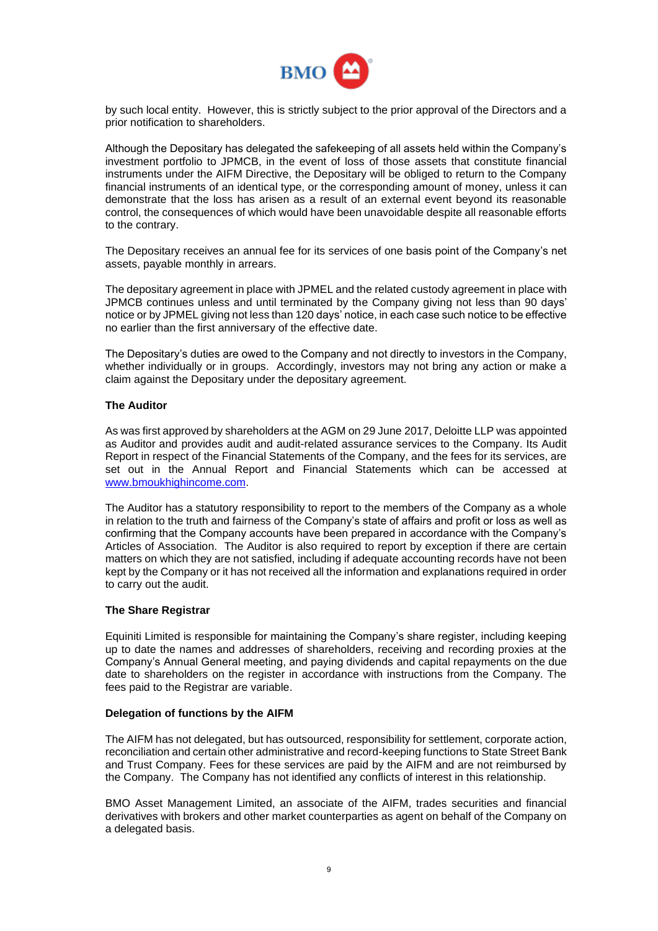

by such local entity. However, this is strictly subject to the prior approval of the Directors and a prior notification to shareholders.

Although the Depositary has delegated the safekeeping of all assets held within the Company's investment portfolio to JPMCB, in the event of loss of those assets that constitute financial instruments under the AIFM Directive, the Depositary will be obliged to return to the Company financial instruments of an identical type, or the corresponding amount of money, unless it can demonstrate that the loss has arisen as a result of an external event beyond its reasonable control, the consequences of which would have been unavoidable despite all reasonable efforts to the contrary.

The Depositary receives an annual fee for its services of one basis point of the Company's net assets, payable monthly in arrears.

The depositary agreement in place with JPMEL and the related custody agreement in place with JPMCB continues unless and until terminated by the Company giving not less than 90 days' notice or by JPMEL giving not less than 120 days' notice, in each case such notice to be effective no earlier than the first anniversary of the effective date.

The Depositary's duties are owed to the Company and not directly to investors in the Company, whether individually or in groups. Accordingly, investors may not bring any action or make a claim against the Depositary under the depositary agreement.

## **The Auditor**

As was first approved by shareholders at the AGM on 29 June 2017, Deloitte LLP was appointed as Auditor and provides audit and audit-related assurance services to the Company. Its Audit Report in respect of the Financial Statements of the Company, and the fees for its services, are set out in the Annual Report and Financial Statements which can be accessed at [www.bmoukhighincome.com.](http://www.fandcukhit.co.uk/)

The Auditor has a statutory responsibility to report to the members of the Company as a whole in relation to the truth and fairness of the Company's state of affairs and profit or loss as well as confirming that the Company accounts have been prepared in accordance with the Company's Articles of Association. The Auditor is also required to report by exception if there are certain matters on which they are not satisfied, including if adequate accounting records have not been kept by the Company or it has not received all the information and explanations required in order to carry out the audit.

## **The Share Registrar**

Equiniti Limited is responsible for maintaining the Company's share register, including keeping up to date the names and addresses of shareholders, receiving and recording proxies at the Company's Annual General meeting, and paying dividends and capital repayments on the due date to shareholders on the register in accordance with instructions from the Company. The fees paid to the Registrar are variable.

## **Delegation of functions by the AIFM**

The AIFM has not delegated, but has outsourced, responsibility for settlement, corporate action, reconciliation and certain other administrative and record-keeping functions to State Street Bank and Trust Company. Fees for these services are paid by the AIFM and are not reimbursed by the Company. The Company has not identified any conflicts of interest in this relationship.

BMO Asset Management Limited, an associate of the AIFM, trades securities and financial derivatives with brokers and other market counterparties as agent on behalf of the Company on a delegated basis.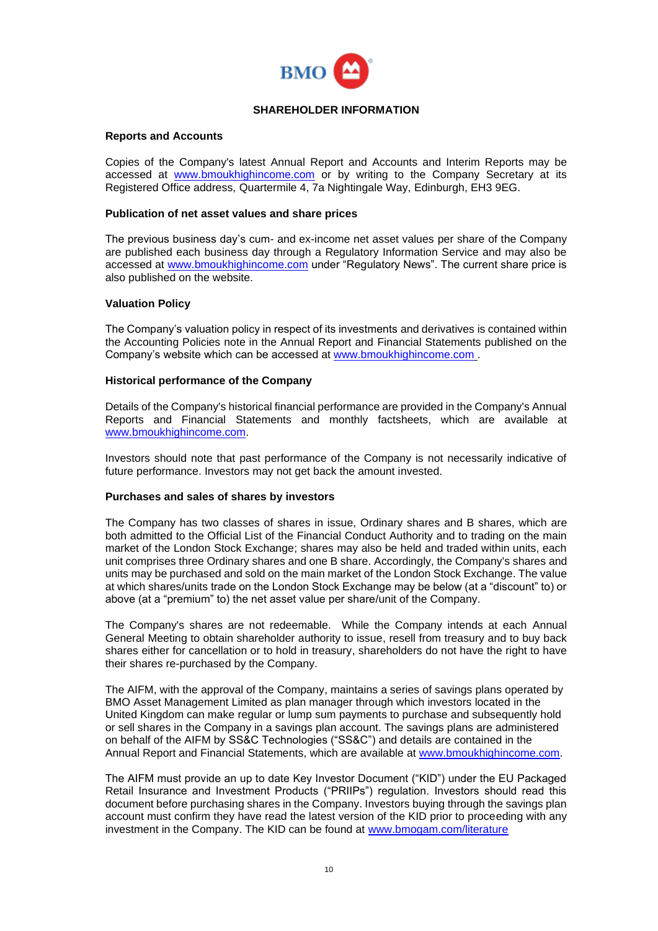

## **SHAREHOLDER INFORMATION**

## **Reports and Accounts**

Copies of the Company's latest Annual Report and Accounts and Interim Reports may be accessed at [www.bmoukhighincome.com](http://www.fandcukhit.co.uk/) or by writing to the Company Secretary at its Registered Office address, Quartermile 4, 7a Nightingale Way, Edinburgh, EH3 9EG.

## **Publication of net asset values and share prices**

The previous business day's cum- and ex-income net asset values per share of the Company are published each business day through a Regulatory Information Service and may also be accessed at [www.bmoukhighincome.com](http://www.fandcukhit.co.uk/) under "Regulatory News". The current share price is also published on the website.

## **Valuation Policy**

The Company's valuation policy in respect of its investments and derivatives is contained within the Accounting Policies note in the Annual Report and Financial Statements published on the Company's website which can be accessed at [www.bmoukhighincome.com](http://www.fandcukhit.co.uk/) .

## **Historical performance of the Company**

Details of the Company's historical financial performance are provided in the Company's Annual Reports and Financial Statements and monthly factsheets, which are available at [www.bmoukhighincome.com.](http://www.fandcukhit.co.uk/)

Investors should note that past performance of the Company is not necessarily indicative of future performance. Investors may not get back the amount invested.

## **Purchases and sales of shares by investors**

The Company has two classes of shares in issue, Ordinary shares and B shares, which are both admitted to the Official List of the Financial Conduct Authority and to trading on the main market of the London Stock Exchange; shares may also be held and traded within units, each unit comprises three Ordinary shares and one B share. Accordingly, the Company's shares and units may be purchased and sold on the main market of the London Stock Exchange. The value at which shares/units trade on the London Stock Exchange may be below (at a "discount" to) or above (at a "premium" to) the net asset value per share/unit of the Company.

The Company's shares are not redeemable. While the Company intends at each Annual General Meeting to obtain shareholder authority to issue, resell from treasury and to buy back shares either for cancellation or to hold in treasury, shareholders do not have the right to have their shares re-purchased by the Company.

The AIFM, with the approval of the Company, maintains a series of savings plans operated by BMO Asset Management Limited as plan manager through which investors located in the United Kingdom can make regular or lump sum payments to purchase and subsequently hold or sell shares in the Company in a savings plan account. The savings plans are administered on behalf of the AIFM by SS&C Technologies ("SS&C") and details are contained in the Annual Report and Financial Statements, which are available at [www.bmoukhighincome.com.](http://www.fandcukhit.co.uk/)

The AIFM must provide an up to date Key Investor Document ("KID") under the EU Packaged Retail Insurance and Investment Products ("PRIIPs") regulation. Investors should read this document before purchasing shares in the Company. Investors buying through the savings plan account must confirm they have read the latest version of the KID prior to proceeding with any investment in the Company. The KID can be found at [www.bmogam.com/literature](http://www.bmogam.com/literature)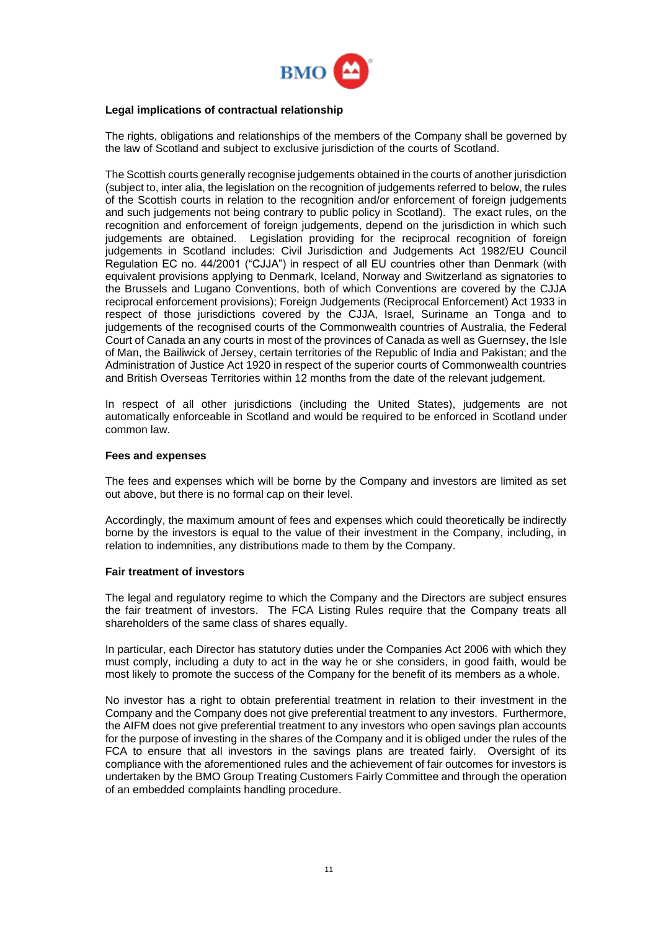

## **Legal implications of contractual relationship**

The rights, obligations and relationships of the members of the Company shall be governed by the law of Scotland and subject to exclusive jurisdiction of the courts of Scotland.

The Scottish courts generally recognise judgements obtained in the courts of another jurisdiction (subject to, inter alia, the legislation on the recognition of judgements referred to below, the rules of the Scottish courts in relation to the recognition and/or enforcement of foreign judgements and such judgements not being contrary to public policy in Scotland). The exact rules, on the recognition and enforcement of foreign judgements, depend on the jurisdiction in which such judgements are obtained. Legislation providing for the reciprocal recognition of foreign judgements in Scotland includes: Civil Jurisdiction and Judgements Act 1982/EU Council Regulation EC no. 44/2001 ("CJJA") in respect of all EU countries other than Denmark (with equivalent provisions applying to Denmark, Iceland, Norway and Switzerland as signatories to the Brussels and Lugano Conventions, both of which Conventions are covered by the CJJA reciprocal enforcement provisions); Foreign Judgements (Reciprocal Enforcement) Act 1933 in respect of those jurisdictions covered by the CJJA, Israel, Suriname an Tonga and to judgements of the recognised courts of the Commonwealth countries of Australia, the Federal Court of Canada an any courts in most of the provinces of Canada as well as Guernsey, the Isle of Man, the Bailiwick of Jersey, certain territories of the Republic of India and Pakistan; and the Administration of Justice Act 1920 in respect of the superior courts of Commonwealth countries and British Overseas Territories within 12 months from the date of the relevant judgement.

In respect of all other jurisdictions (including the United States), judgements are not automatically enforceable in Scotland and would be required to be enforced in Scotland under common law.

## **Fees and expenses**

The fees and expenses which will be borne by the Company and investors are limited as set out above, but there is no formal cap on their level.

Accordingly, the maximum amount of fees and expenses which could theoretically be indirectly borne by the investors is equal to the value of their investment in the Company, including, in relation to indemnities, any distributions made to them by the Company.

## **Fair treatment of investors**

The legal and regulatory regime to which the Company and the Directors are subject ensures the fair treatment of investors. The FCA Listing Rules require that the Company treats all shareholders of the same class of shares equally.

In particular, each Director has statutory duties under the Companies Act 2006 with which they must comply, including a duty to act in the way he or she considers, in good faith, would be most likely to promote the success of the Company for the benefit of its members as a whole.

No investor has a right to obtain preferential treatment in relation to their investment in the Company and the Company does not give preferential treatment to any investors. Furthermore, the AIFM does not give preferential treatment to any investors who open savings plan accounts for the purpose of investing in the shares of the Company and it is obliged under the rules of the FCA to ensure that all investors in the savings plans are treated fairly. Oversight of its compliance with the aforementioned rules and the achievement of fair outcomes for investors is undertaken by the BMO Group Treating Customers Fairly Committee and through the operation of an embedded complaints handling procedure.